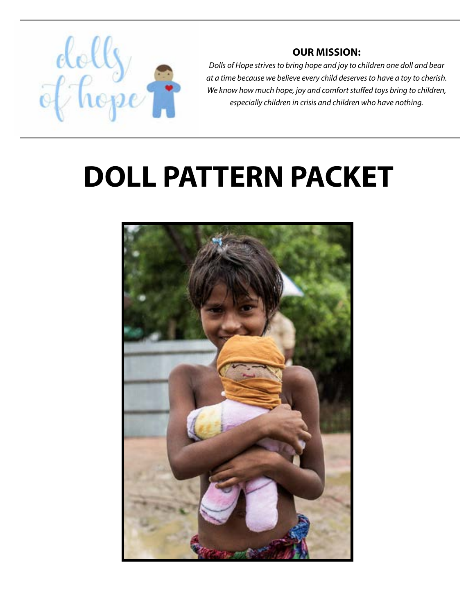

### **OUR MISSION:**

*Dolls of Hope strives to bring hope and joy to children one doll and bear at a time because we believe every child deserves to have a toy to cherish. We know how much hope, joy and comfort stuffed toys bring to children, especially children in crisis and children who have nothing.*

# **DOLL PATTERN PACKET**

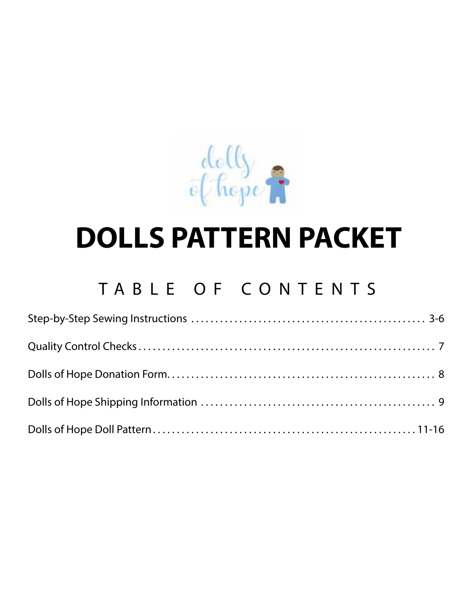

# **DOLLS PATTERN PACKET**

# TABLE OF CONTENTS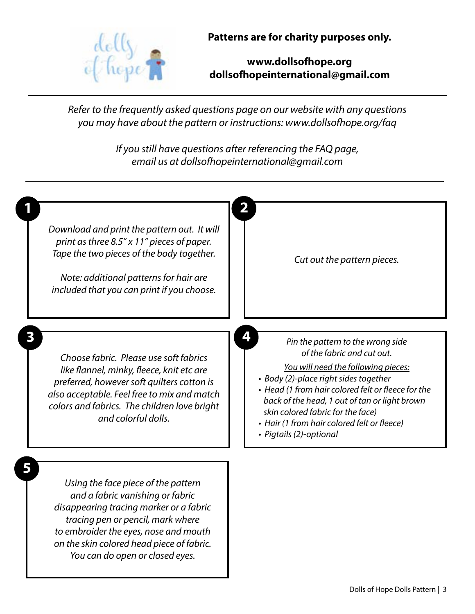

# **www.dollsofhope.org dollsofhopeinternational@gmail.com**

*Refer to the frequently asked questions page on our website with any questions you may have about the pattern or instructions: www.dollsofhope.org/faq*

> *If you still have questions after referencing the FAQ page, email us at dollsofhopeinternational@gmail.com*

| Download and print the pattern out. It will<br>print as three 8.5" x 11" pieces of paper.<br>Tape the two pieces of the body together.                                                                                                                                           | Cut out the pattern pieces.                                                                                                                                                                                                                                                                                                                                           |
|----------------------------------------------------------------------------------------------------------------------------------------------------------------------------------------------------------------------------------------------------------------------------------|-----------------------------------------------------------------------------------------------------------------------------------------------------------------------------------------------------------------------------------------------------------------------------------------------------------------------------------------------------------------------|
| Note: additional patterns for hair are<br>included that you can print if you choose.                                                                                                                                                                                             |                                                                                                                                                                                                                                                                                                                                                                       |
| Choose fabric. Please use soft fabrics<br>like flannel, minky, fleece, knit etc are<br>preferred, however soft quilters cotton is<br>also acceptable. Feel free to mix and match<br>colors and fabrics. The children love bright<br>and colorful dolls.                          | Pin the pattern to the wrong side<br>of the fabric and cut out.<br>You will need the following pieces:<br>· Body (2)-place right sides together<br>• Head (1 from hair colored felt or fleece for the<br>back of the head, 1 out of tan or light brown<br>skin colored fabric for the face)<br>• Hair (1 from hair colored felt or fleece)<br>· Pigtails (2)-optional |
| Using the face piece of the pattern<br>and a fabric vanishing or fabric<br>disappearing tracing marker or a fabric<br>tracing pen or pencil, mark where<br>to embroider the eyes, nose and mouth<br>on the skin colored head piece of fabric.<br>You can do open or closed eyes. |                                                                                                                                                                                                                                                                                                                                                                       |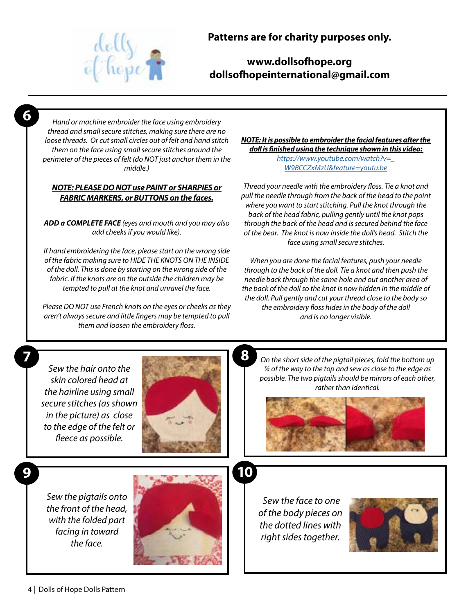

## **www.dollsofhope.org dollsofhopeinternational@gmail.com**

**6** *Hand or machine embroider the face using embroidery thread and small secure stitches, making sure there are no loose threads. Or cut small circles out of felt and hand stitch them on the face using small secure stitches around the perimeter of the pieces of felt (do NOT just anchor them in the middle.)* 

#### *NOTE: PLEASE DO NOT use PAINT or SHARPIES or FABRIC MARKERS, or BUTTONS on the faces.*

*ADD a COMPLETE FACE (eyes and mouth and you may also add cheeks if you would like).*

*If hand embroidering the face, please start on the wrong side of the fabric making sure to HIDE THE KNOTS ON THE INSIDE of the doll. This is done by starting on the wrong side of the fabric. If the knots are on the outside the children may be tempted to pull at the knot and unravel the face.*

*Please DO NOT use French knots on the eyes or cheeks as they aren't always secure and little fingers may be tempted to pull them and loosen the embroidery floss.*

*NOTE: It is possible to embroider the facial features after the doll is finished using the technique shown in this video: [https://www.youtube.com/watch?v=\\_](https://www.youtube.com/watch?v=_W9BCCZxMzU&feature=youtu.be) [W9BCCZxMzU&feature=youtu.be](https://www.youtube.com/watch?v=_W9BCCZxMzU&feature=youtu.be)*

*Thread your needle with the embroidery floss. Tie a knot and pull the needle through from the back of the head to the point where you want to start stitching. Pull the knot through the back of the head fabric, pulling gently until the knot pops through the back of the head and is secured behind the face of the bear. The knot is now inside the doll's head. Stitch the face using small secure stitches.* 

*When you are done the facial features, push your needle through to the back of the doll. Tie a knot and then push the needle back through the same hole and out another area of the back of the doll so the knot is now hidden in the middle of the doll. Pull gently and cut your thread close to the body so the embroidery floss hides in the body of the doll and is no longer visible.*

*Sew the hair onto the skin colored head at the hairline using small secure stitches (as shown in the picture) as close to the edge of the felt or fleece as possible.*

*Sew the pigtails onto the front of the head, with the folded part facing in toward the face.*

**7**

**9**



*On the short side of the pigtail pieces, fold the bottom up ¾ of the way to the top and sew as close to the edge as possible. The two pigtails should be mirrors of each other, rather than identical.*



**10**

**8**

 *Sew the face to one of the body pieces on the dotted lines with right sides together.*

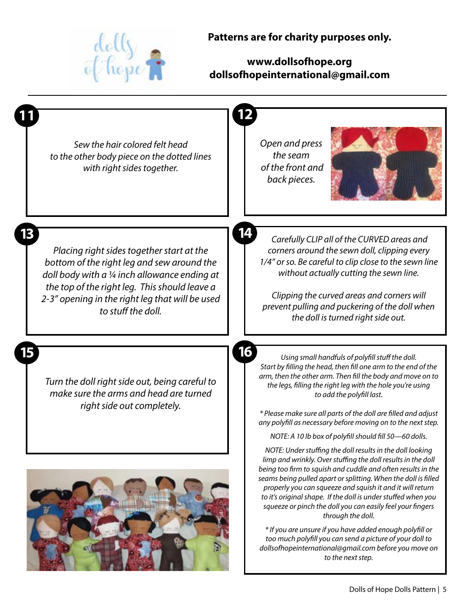

## **www.dollsofhope.org dollsofhopeinternational@gmail.com**

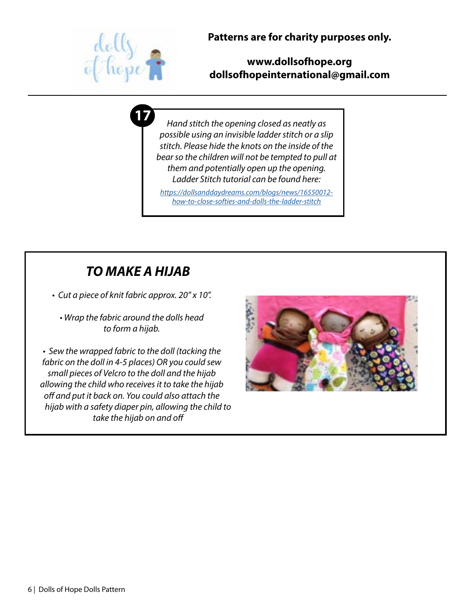

# **www.dollsofhope.org dollsofhopeinternational@gmail.com**

**17** *Hand stitch the opening closed as neatly as possible using an invisible ladder stitch or a slip stitch. Please hide the knots on the inside of the bear so the children will not be tempted to pull at them and potentially open up the opening. Ladder Stitch tutorial can be found here:* 

> *[https://dollsanddaydreams.com/blogs/news/16550012](https://dollsanddaydreams.com/blogs/news/16550012-how-to-close-softies-and-dolls-the-ladder-stitch) [how-to-close-softies-and-dolls-the-ladder-stitch](https://dollsanddaydreams.com/blogs/news/16550012-how-to-close-softies-and-dolls-the-ladder-stitch)*

# *TO MAKE A HIJAB*

*• Cut a piece of knit fabric approx. 20" x 10".*

*• Wrap the fabric around the dolls head to form a hijab.*

*• Sew the wrapped fabric to the doll (tacking the fabric on the doll in 4-5 places) OR you could sew small pieces of Velcro to the doll and the hijab allowing the child who receives it to take the hijab off and put it back on. You could also attach the hijab with a safety diaper pin, allowing the child to take the hijab on and off*

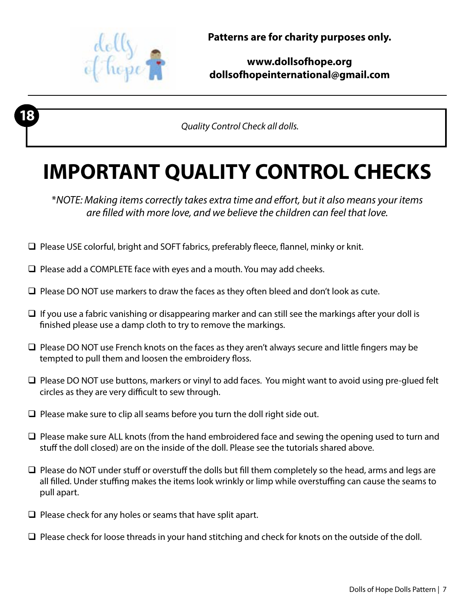

## **www.dollsofhope.org dollsofhopeinternational@gmail.com**

**18**

*Quality Control Check all dolls.*

# **IMPORTANT QUALITY CONTROL CHECKS**

\**NOTE: Making items correctly takes extra time and effort, but it also means your items are filled with more love, and we believe the children can feel that love.*

- $\Box$  Please USE colorful, bright and SOFT fabrics, preferably fleece, flannel, minky or knit.
- $\Box$  Please add a COMPLETE face with eyes and a mouth. You may add cheeks.
- $\Box$  Please DO NOT use markers to draw the faces as they often bleed and don't look as cute.
- $\Box$  If you use a fabric vanishing or disappearing marker and can still see the markings after your doll is finished please use a damp cloth to try to remove the markings.
- $\Box$  Please DO NOT use French knots on the faces as they aren't always secure and little fingers may be tempted to pull them and loosen the embroidery floss.
- $\Box$  Please DO NOT use buttons, markers or vinyl to add faces. You might want to avoid using pre-glued felt circles as they are very difficult to sew through.
- $\Box$  Please make sure to clip all seams before you turn the doll right side out.
- $\Box$  Please make sure ALL knots (from the hand embroidered face and sewing the opening used to turn and stuff the doll closed) are on the inside of the doll. Please see the tutorials shared above.
- $\Box$  Please do NOT under stuff or overstuff the dolls but fill them completely so the head, arms and legs are all filled. Under stuffing makes the items look wrinkly or limp while overstuffing can cause the seams to pull apart.
- $\Box$  Please check for any holes or seams that have split apart.
- $\Box$  Please check for loose threads in your hand stitching and check for knots on the outside of the doll.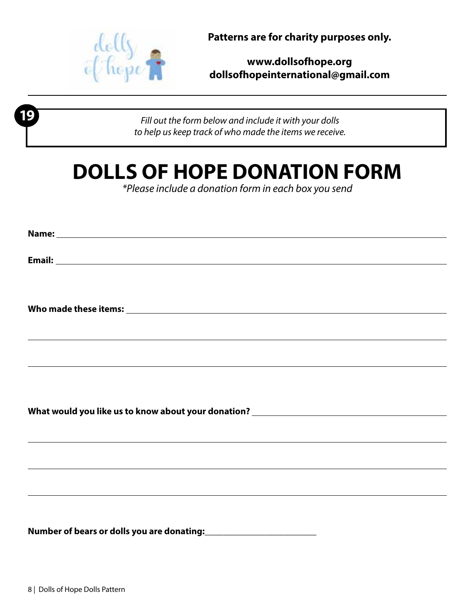

**www.dollsofhope.org dollsofhopeinternational@gmail.com**

**19** *Fill out the form below and include it with your dolls to help us keep track of who made the items we receive.*

# **DOLLS OF HOPE DONATION FORM**

*\*Please include a donation form in each box you send*

| Name: Name: Name: Name: Name: Name: Name: Name: Name: Name: Name: Name: Name: Name: Name: Name: Name: Name: Name: Name: Name: Name: Name: Name: Name: Name: Name: Name: Name: Name: Name: Name: Name: Name: Name: Name: Name: |
|-------------------------------------------------------------------------------------------------------------------------------------------------------------------------------------------------------------------------------|
|                                                                                                                                                                                                                               |
|                                                                                                                                                                                                                               |
|                                                                                                                                                                                                                               |
|                                                                                                                                                                                                                               |
|                                                                                                                                                                                                                               |
|                                                                                                                                                                                                                               |
|                                                                                                                                                                                                                               |
|                                                                                                                                                                                                                               |
|                                                                                                                                                                                                                               |
| ,我们也不会有什么?""我们的人,我们也不会有什么?""我们的人,我们也不会有什么?""我们的人,我们也不会有什么?""我们的人,我们也不会有什么?""我们的人                                                                                                                                              |
|                                                                                                                                                                                                                               |
|                                                                                                                                                                                                                               |
| What would you like us to know about your donation? _____________________________                                                                                                                                             |
|                                                                                                                                                                                                                               |
|                                                                                                                                                                                                                               |
|                                                                                                                                                                                                                               |
|                                                                                                                                                                                                                               |
| <u> 1999 - Johann Harry Harry Harry Harry Harry Harry Harry Harry Harry Harry Harry Harry Harry Harry Harry Harry H</u>                                                                                                       |
|                                                                                                                                                                                                                               |
| ,我们也不会有什么。""我们的人,我们也不会有什么?""我们的人,我们也不会有什么?""我们的人,我们也不会有什么?""我们的人,我们也不会有什么?""我们的人                                                                                                                                              |
|                                                                                                                                                                                                                               |
|                                                                                                                                                                                                                               |
|                                                                                                                                                                                                                               |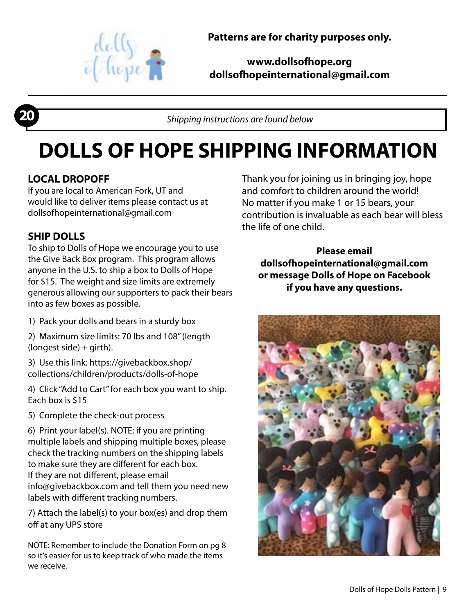

**www.dollsofhope.org dollsofhopeinternational@gmail.com**

**20** *Shipping instructions are found below*

# **DOLLS OF HOPE SHIPPING INFORMATION**

# **LOCAL DROPOFF**

If you are local to American Fork, UT and would like to deliver items please contact us at dollsofhopeinternational@gmail.com

## **SHIP DOLLS**

To ship to Dolls of Hope we encourage you to use the Give Back Box program. This program allows anyone in the U.S. to ship a box to Dolls of Hope for \$15. The weight and size limits are extremely generous allowing our supporters to pack their bears into as few boxes as possible.

- 1) Pack your dolls and bears in a sturdy box
- 2) Maximum size limits: 70 lbs and 108" (length  $(longest side) + girth).$
- 3) Use this link: https://givebackbox.shop/ collections/children/products/dolls-of-hope
- 4) Click "Add to Cart" for each box you want to ship. Each box is \$15
- 5) Complete the check-out process

6) Print your label(s). NOTE: if you are printing multiple labels and shipping multiple boxes, please check the tracking numbers on the shipping labels to make sure they are different for each box. If they are not different, please email info@givebackbox.com and tell them you need new labels with different tracking numbers.

7) Attach the label(s) to your box(es) and drop them off at any UPS store

NOTE: Remember to include the Donation Form on pg 8 so it's easier for us to keep track of who made the items we receive.

Thank you for joining us in bringing joy, hope and comfort to children around the world! No matter if you make 1 or 15 bears, your contribution is invaluable as each bear will bless the life of one child.

**Please email dollsofhopeinternational@gmail.com or message Dolls of Hope on Facebook if you have any questions.** 

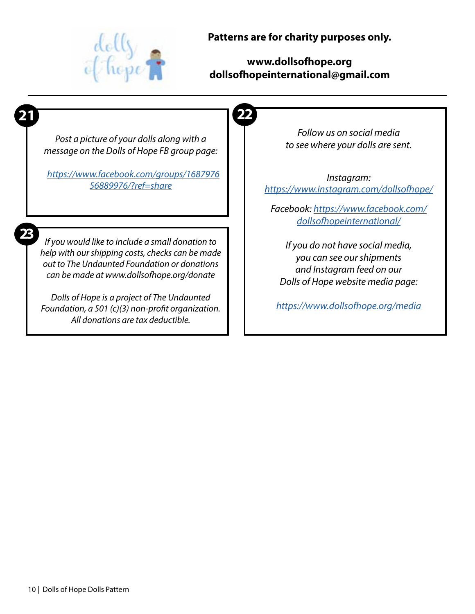

**21**

**Patterns are for charity purposes only.**

## **www.dollsofhope.org dollsofhopeinternational@gmail.com**

# **22**

*Post a picture of your dolls along with a message on the Dolls of Hope FB group page:* 

 *[https://www.facebook.com/groups/1687976](https://www.facebook.com/groups/168797656889976/?ref=share) [56889976/?ref=share](https://www.facebook.com/groups/168797656889976/?ref=share)*

**23** *If you would like to include a small donation to help with our shipping costs, checks can be made out to The Undaunted Foundation or donations can be made at www.dollsofhope.org/donate*

*Dolls of Hope is a project of The Undaunted Foundation, a 501 (c)(3) non-profit organization. All donations are tax deductible.*

*Follow us on social media to see where your dolls are sent.* 

*Instagram: <https://www.instagram.com/dollsofhope/>*

*Facebook: [https://www.facebook.com/](https://www.facebook.com/dollsofhopeinternational/) [dollsofhopeinternational/](https://www.facebook.com/dollsofhopeinternational/)*

*If you do not have social media, you can see our shipments and Instagram feed on our Dolls of Hope website media page:*

*<https://www.dollsofhope.org/media>*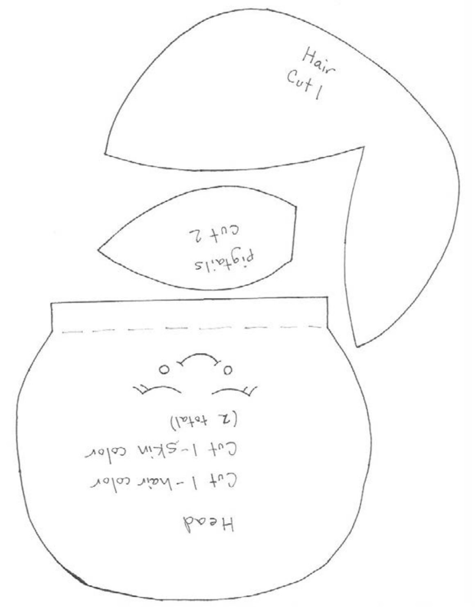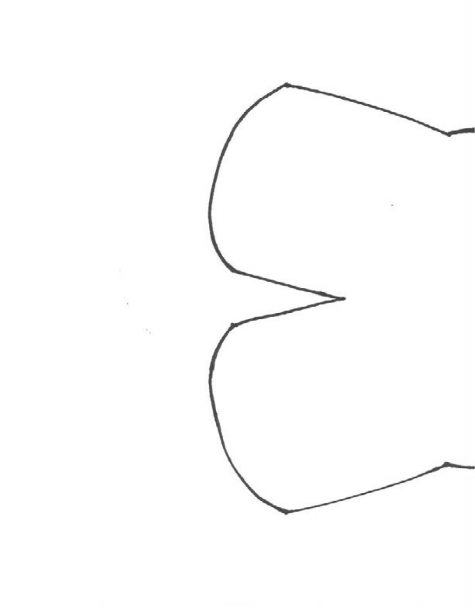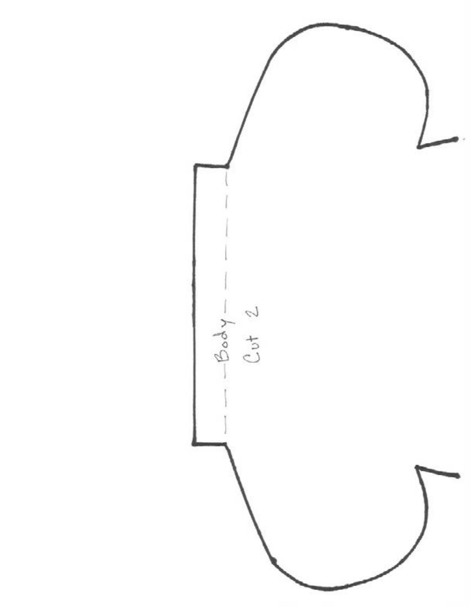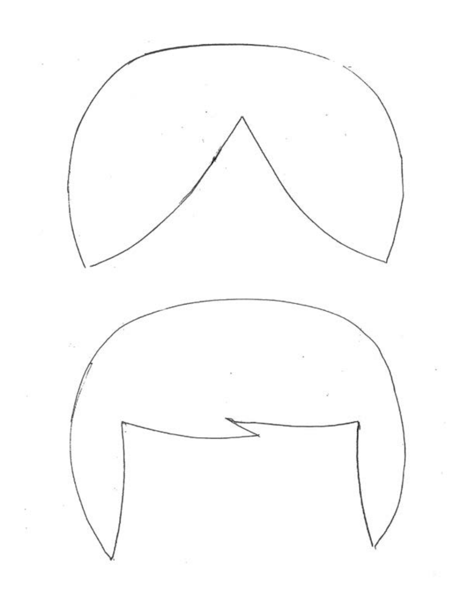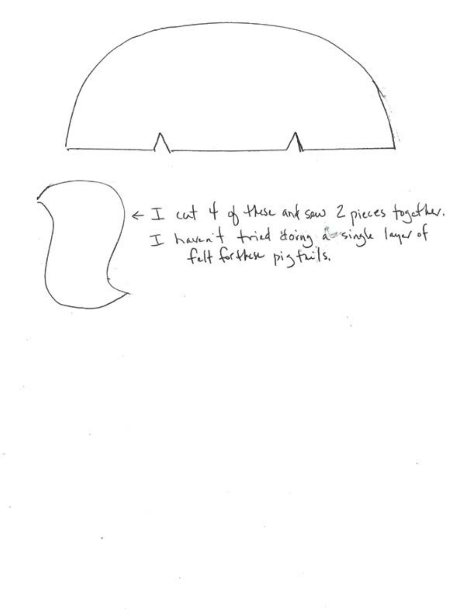< I cut 4 of these and sow 2 pieces together.<br>I haven't tried doing desingle layer of<br>felt forthese pigtails.  $\widetilde{\mathcal{A}}$  $\overline{\partial} \mathbf{e}^{\prime}$  . The contract of  $\overline{\partial} \mathbf{e}^{\prime}$  $\sim$  $\label{eq:1.1} \begin{array}{cccccccccc} \text{MSE} & & & & \text{MSE} & & & \text{MSE} & & & \text{MSE} & & & \text{MSE} & & & \text{MSE} & & & \text{MSE} & & & \text{MSE} & & & \text{MSE} & & & \text{MSE} & & & \text{MSE} & & & \text{MSE} & & & \text{MSE} & & & \text{MSE} & & & \text{MSE} & & & \text{MSE} & & & \text{MSE} & & & \text{MSE} & & & \text{MSE} & & & \text{MSE} & & & \text{MSE} & & & \text{MSE} & & & \text{$